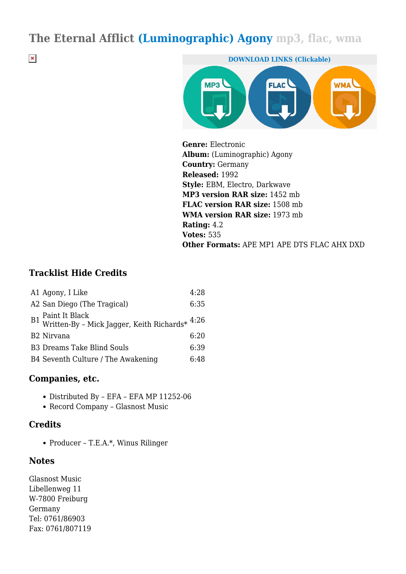# **The Eternal Afflict (Luminographic) Agony mp3, flac, wma**

 $\pmb{\times}$ 



**Genre:** Electronic **Album:** (Luminographic) Agony **Country:** Germany **Released:** 1992 **Style:** EBM, Electro, Darkwave **MP3 version RAR size:** 1452 mb **FLAC version RAR size:** 1508 mb **WMA version RAR size:** 1973 mb **Rating:** 4.2 **Votes:** 535 **Other Formats:** APE MP1 APE DTS FLAC AHX DXD

#### **Tracklist Hide Credits**

| A1 Agony, I Like                                          | 4:28 |
|-----------------------------------------------------------|------|
| A2 San Diego (The Tragical)                               | 6:35 |
| B1 Paint It Black Jagger, Keith Richards<br>* $^{4:26}\,$ |      |
| B <sub>2</sub> Nirvana                                    | 6:20 |
| <b>B3 Dreams Take Blind Souls</b>                         | 6:39 |
| B4 Seventh Culture / The Awakening                        | 6:48 |

#### **Companies, etc.**

- Distributed By EFA EFA MP 11252-06
- Record Company Glasnost Music

#### **Credits**

Producer – T.E.A.\*, Winus Rilinger

#### **Notes**

Glasnost Music Libellenweg 11 W-7800 Freiburg Germany Tel: 0761/86903 Fax: 0761/807119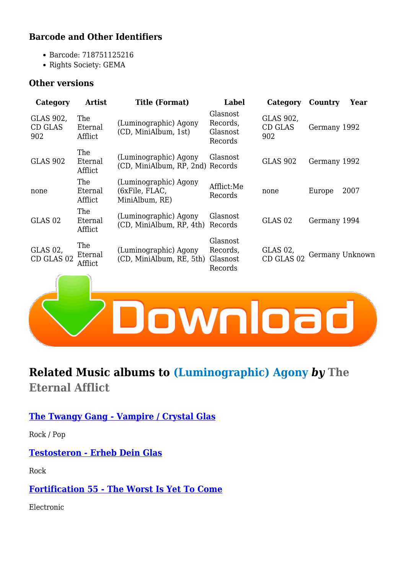### **Barcode and Other Identifiers**

- Barcode: 718751125216
- Rights Society: GEMA

#### **Other versions**

| Category                           | <b>Artist</b>             | <b>Title (Format)</b>                                     | Label                                       | Category                           | Country      | Year            |
|------------------------------------|---------------------------|-----------------------------------------------------------|---------------------------------------------|------------------------------------|--------------|-----------------|
| GLAS 902,<br><b>CD GLAS</b><br>902 | The<br>Eternal<br>Afflict | (Luminographic) Agony<br>(CD, MiniAlbum, 1st)             | Glasnost<br>Records,<br>Glasnost<br>Records | GLAS 902,<br><b>CD GLAS</b><br>902 | Germany 1992 |                 |
| <b>GLAS 902</b>                    | The<br>Eternal<br>Afflict | (Luminographic) Agony<br>(CD, MiniAlbum, RP, 2nd) Records | Glasnost                                    | <b>GLAS 902</b>                    | Germany 1992 |                 |
| none                               | The<br>Eternal<br>Afflict | (Luminographic) Agony<br>(6xFile, FLAC,<br>MiniAlbum, RE) | Afflict:Me<br>Records                       | none                               | Europe       | 2007            |
| GLAS <sub>02</sub>                 | The<br>Eternal<br>Afflict | (Luminographic) Agony<br>(CD, MiniAlbum, RP, 4th)         | Glasnost<br>Records                         | GLAS <sub>02</sub>                 | Germany 1994 |                 |
| GLAS 02,<br>CD GLAS 02             | The<br>Eternal<br>Afflict | (Luminographic) Agony<br>(CD, MiniAlbum, RE, 5th)         | Glasnost<br>Records,<br>Glasnost<br>Records | GLAS 02,<br>CD GLAS 02             |              | Germany Unknown |
|                                    |                           |                                                           |                                             |                                    |              |                 |



## **Related Music albums to (Luminographic) Agony** *by* **The Eternal Afflict**

**[The Twangy Gang - Vampire / Crystal Glas](https://igomp3.com/rock/369330-the-twangy-gang-vampirecrystal-glas.pdf)**

Rock / Pop

#### **[Testosteron - Erheb Dein Glas](https://igomp3.com/rock/311089-testosteron-erheb-dein-glas.pdf)**

Rock

#### **[Fortification 55 - The Worst Is Yet To Come](https://igomp3.com/electronic/301767-fortification-55-the-worst-is-yet-to-come.pdf)**

Electronic